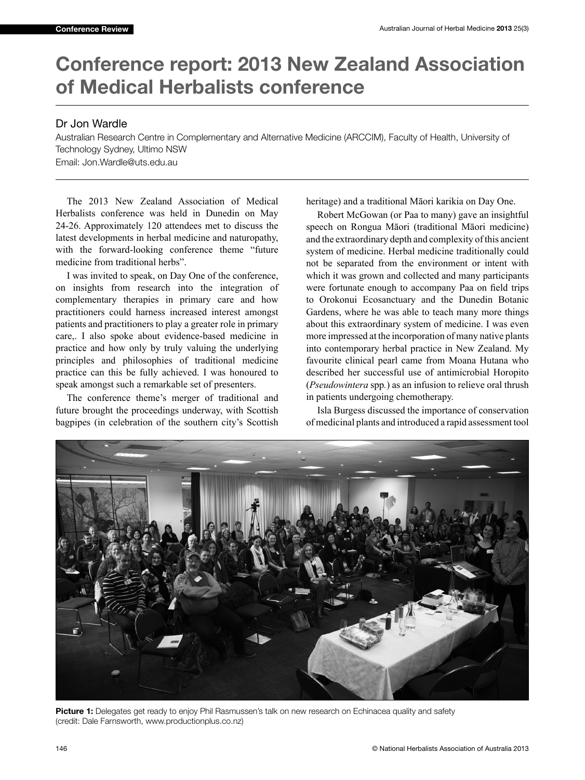## **Conference report: 2013 New Zealand Association of Medical Herbalists conference**

## Dr Jon Wardle

Australian Research Centre in Complementary and Alternative Medicine (ARCCIM), Faculty of Health, University of Technology Sydney, Ultimo NSW Email: Jon.Wardle@uts.edu.au

The 2013 New Zealand Association of Medical Herbalists conference was held in Dunedin on May 24-26. Approximately 120 attendees met to discuss the latest developments in herbal medicine and naturopathy, with the forward-looking conference theme "future medicine from traditional herbs".

I was invited to speak, on Day One of the conference, on insights from research into the integration of complementary therapies in primary care and how practitioners could harness increased interest amongst patients and practitioners to play a greater role in primary care,. I also spoke about evidence-based medicine in practice and how only by truly valuing the underlying principles and philosophies of traditional medicine practice can this be fully achieved. I was honoured to speak amongst such a remarkable set of presenters.

The conference theme's merger of traditional and future brought the proceedings underway, with Scottish bagpipes (in celebration of the southern city's Scottish heritage) and a traditional Māori karikia on Day One.

Robert McGowan (or Paa to many) gave an insightful speech on Rongua Māori (traditional Māori medicine) and the extraordinary depth and complexity of this ancient system of medicine. Herbal medicine traditionally could not be separated from the environment or intent with which it was grown and collected and many participants were fortunate enough to accompany Paa on field trips to Orokonui Ecosanctuary and the Dunedin Botanic Gardens, where he was able to teach many more things about this extraordinary system of medicine. I was even more impressed at the incorporation of many native plants into contemporary herbal practice in New Zealand. My favourite clinical pearl came from Moana Hutana who described her successful use of antimicrobial Horopito (*Pseudowintera* spp*.*) as an infusion to relieve oral thrush in patients undergoing chemotherapy.

Isla Burgess discussed the importance of conservation of medicinal plants and introduced a rapid assessment tool



**Picture 1:** Delegates get ready to enjoy Phil Rasmussen's talk on new research on Echinacea quality and safety (credit: Dale Farnsworth, www.productionplus.co.nz)